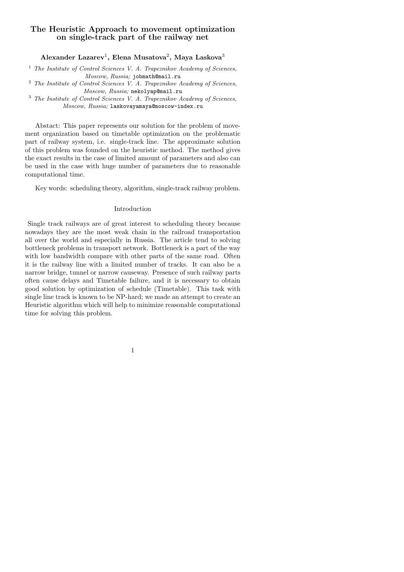## **The Heuristic Approach to movement optimization on single-track part of the railway net**

**Alexander Lazarev**<sup>1</sup> **, Elena Musatova**<sup>2</sup> **, Maya Laskova**<sup>3</sup>

<sup>1</sup> *The Institute of Control Sciences V. A. Trapeznikov Academy of Sciences, Moscow, Russia;* jobmath@mail.ru

<sup>2</sup> *The Institute of Control Sciences V. A. Trapeznikov Academy of Sciences, Moscow, Russia;* nekolyap@mail.ru

<sup>3</sup> *The Institute of Control Sciences V. A. Trapeznikov Academy of Sciences, Moscow, Russia;* laskovayamaya@moscow-index.ru

Abstact: This paper represents our solution for the problem of movement organization based on timetable optimization on the problematic part of railway system, i.e. single-track line. The approximate solution of this problem was founded on the heuristic method. The method gives the exact results in the case of limited amount of parameters and also can be used in the case with huge number of parameters due to reasonable computational time.

Key words: scheduling theory, algorithm, single-track railway problem.

#### Introduction

Single track railways are of great interest to scheduling theory because nowadays they are the most weak chain in the railroad transportation all over the world and especially in Russia. The article tend to solving bottleneck problems in transport network. Bottleneck is a part of the way with low bandwidth compare with other parts of the same road. Often it is the railway line with a limited number of tracks. It can also be a narrow bridge, tunnel or narrow causeway. Presence of such railway parts often cause delays and Timetable failure, and it is necessary to obtain good solution by optimization of schedule (Timetable). This task with single line track is known to be NP-hard; we made an attempt to create an Heuristic algorithm which will help to minimize reasonable computational time for solving this problem.

1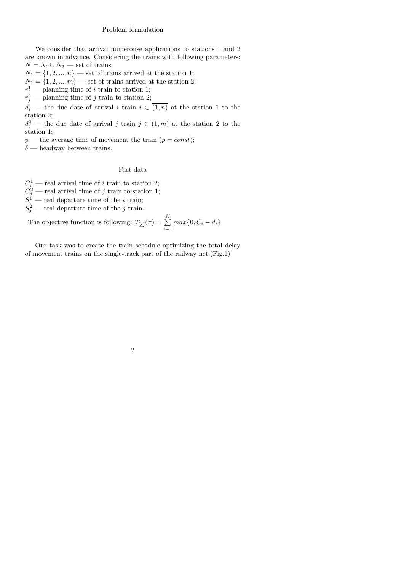### Problem formulation

We consider that arrival numerouse applications to stations 1 and 2 are known in advance. Considering the trains with following parameters:  $N = N_1 \cup N_2$  — set of trains;

 $N_1 = \{1, 2, ..., n\}$  — set of trains arrived at the station 1;

 $N_1 = \{1, 2, ..., m\}$  — set of trains arrived at the station 2;

 $r_i^1$  — planning time of *i* train to station 1;

 $r_j^2$  — planning time of *j* train to station 2;

 $d_i^1$  — the due date of arrival *i* train  $i \in (1, n)$  at the station 1 to the station 2;

 $d_j^2$  — the due date of arrival *j* train  $j \in (1, m)$  at the station 2 to the station 1;

 $p$ — the average time of movement the train  $(p = const)$ ;

 $\delta$  — headway between trains.

## Fact data

 $C_i^1$  — real arrival time of *i* train to station 2;

 $C_j^2$  — real arrival time of *j* train to station 1;

 $S_i^1$  — real departure time of the *i* train;

 $S_j^2$  — real departure time of the *j* train.

The objective function is following:  $T_{\sum}(\pi) = \sum_{i=1}^{N}$  $\sum_{i=1}^{n} max\{0, C_i - d_i\}$ 

Our task was to create the train schedule optimizing the total delay of movement trains on the single-track part of the railway net.(Fig.1)

# 2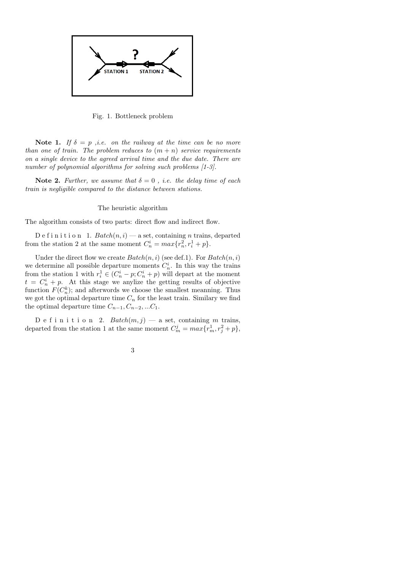

Fig. 1. Bottleneck problem

**Note 1.** *If*  $\delta = p$  *,i.e.* on the railway at the time can be no more *than one of train. The problem reduces to*  $(m + n)$  *service requirements on a single device to the agreed arrival time and the due date. There are number of polynomial algorithms for solving such problems [1-3].*

**Note 2.** *Further, we assume that*  $\delta = 0$ , *i.e. the delay time of each train is negligible compared to the distance between stations.*

#### The heuristic algorithm

The algorithm consists of two parts: direct flow and indirect flow.

D e f i n i t i o n 1.  $Batch(n, i)$  — a set, containing *n* trains, departed from the station 2 at the same moment  $C_n^i = max\{r_n^2, r_i^1 + p\}.$ 

Under the direct flow we create  $Batch(n, i)$  (see def.1). For  $Batch(n, i)$ we determine all possible departure moments  $C_n^i$ . In this way the trains from the station 1 with  $r_i^1 \in (C_n^i - p; C_n^i + p)$  will depart at the moment  $t = C_n^i + p$ . At this stage we anylize the getting results of objective function  $F(C_n^k)$ ; and afterwords we choose the smallest meanning. Thus we got the optimal departure time  $C_n$  for the least train. Similary we find the optimal departure time  $C_{n-1}, C_{n-2}, \ldots, C_1$ .

D e f i n i t i o n 2.  $Batch(m, j)$  — a set, containing m trains, departed from the station 1 at the same moment  $C_m^j = max\{r_m^1, r_j^2 + p\}$ ,